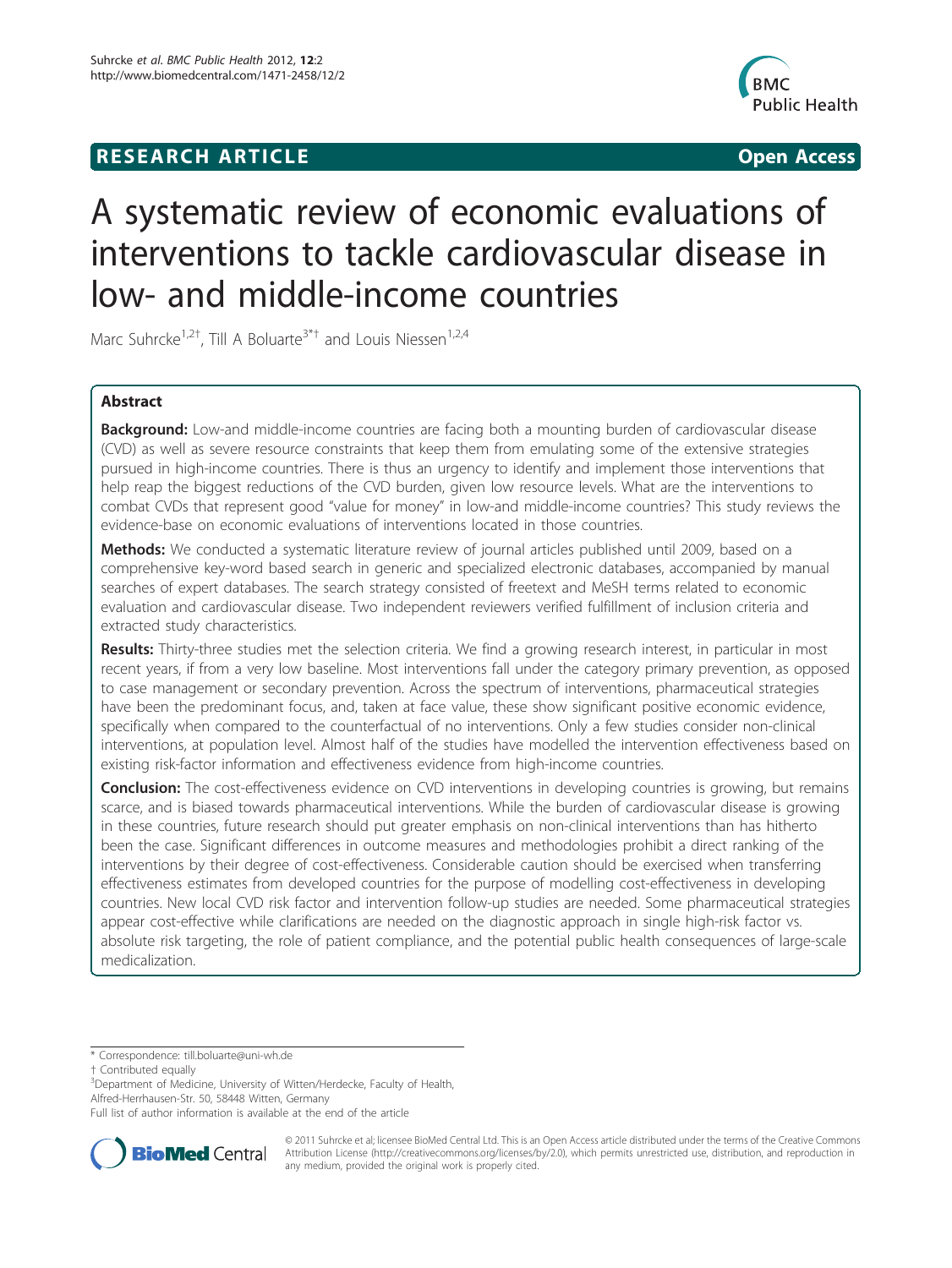# **RESEARCH ARTICLE Example 2018 12:00 Open Access**



# A systematic review of economic evaluations of interventions to tackle cardiovascular disease in low- and middle-income countries

Marc Suhrcke<sup>1,2†</sup>, Till A Boluarte<sup>3\*†</sup> and Louis Niessen<sup>1,2,4</sup>

# Abstract

**Background:** Low-and middle-income countries are facing both a mounting burden of cardiovascular disease (CVD) as well as severe resource constraints that keep them from emulating some of the extensive strategies pursued in high-income countries. There is thus an urgency to identify and implement those interventions that help reap the biggest reductions of the CVD burden, given low resource levels. What are the interventions to combat CVDs that represent good "value for money" in low-and middle-income countries? This study reviews the evidence-base on economic evaluations of interventions located in those countries.

Methods: We conducted a systematic literature review of journal articles published until 2009, based on a comprehensive key-word based search in generic and specialized electronic databases, accompanied by manual searches of expert databases. The search strategy consisted of freetext and MeSH terms related to economic evaluation and cardiovascular disease. Two independent reviewers verified fulfillment of inclusion criteria and extracted study characteristics.

Results: Thirty-three studies met the selection criteria. We find a growing research interest, in particular in most recent years, if from a very low baseline. Most interventions fall under the category primary prevention, as opposed to case management or secondary prevention. Across the spectrum of interventions, pharmaceutical strategies have been the predominant focus, and, taken at face value, these show significant positive economic evidence, specifically when compared to the counterfactual of no interventions. Only a few studies consider non-clinical interventions, at population level. Almost half of the studies have modelled the intervention effectiveness based on existing risk-factor information and effectiveness evidence from high-income countries.

**Conclusion:** The cost-effectiveness evidence on CVD interventions in developing countries is growing, but remains scarce, and is biased towards pharmaceutical interventions. While the burden of cardiovascular disease is growing in these countries, future research should put greater emphasis on non-clinical interventions than has hitherto been the case. Significant differences in outcome measures and methodologies prohibit a direct ranking of the interventions by their degree of cost-effectiveness. Considerable caution should be exercised when transferring effectiveness estimates from developed countries for the purpose of modelling cost-effectiveness in developing countries. New local CVD risk factor and intervention follow-up studies are needed. Some pharmaceutical strategies appear cost-effective while clarifications are needed on the diagnostic approach in single high-risk factor vs. absolute risk targeting, the role of patient compliance, and the potential public health consequences of large-scale medicalization.

\* Correspondence: [till.boluarte@uni-wh.de](mailto:till.boluarte@uni-wh.de)

<sup>3</sup>Department of Medicine, University of Witten/Herdecke, Faculty of Health, Alfred-Herrhausen-Str. 50, 58448 Witten, Germany

Full list of author information is available at the end of the article



© 2011 Suhrcke et al; licensee BioMed Central Ltd. This is an Open Access article distributed under the terms of the Creative Commons Attribution License [\(http://creativecommons.org/licenses/by/2.0](http://creativecommons.org/licenses/by/2.0)), which permits unrestricted use, distribution, and reproduction in any medium, provided the original work is properly cited.

<sup>†</sup> Contributed equally <sup>3</sup>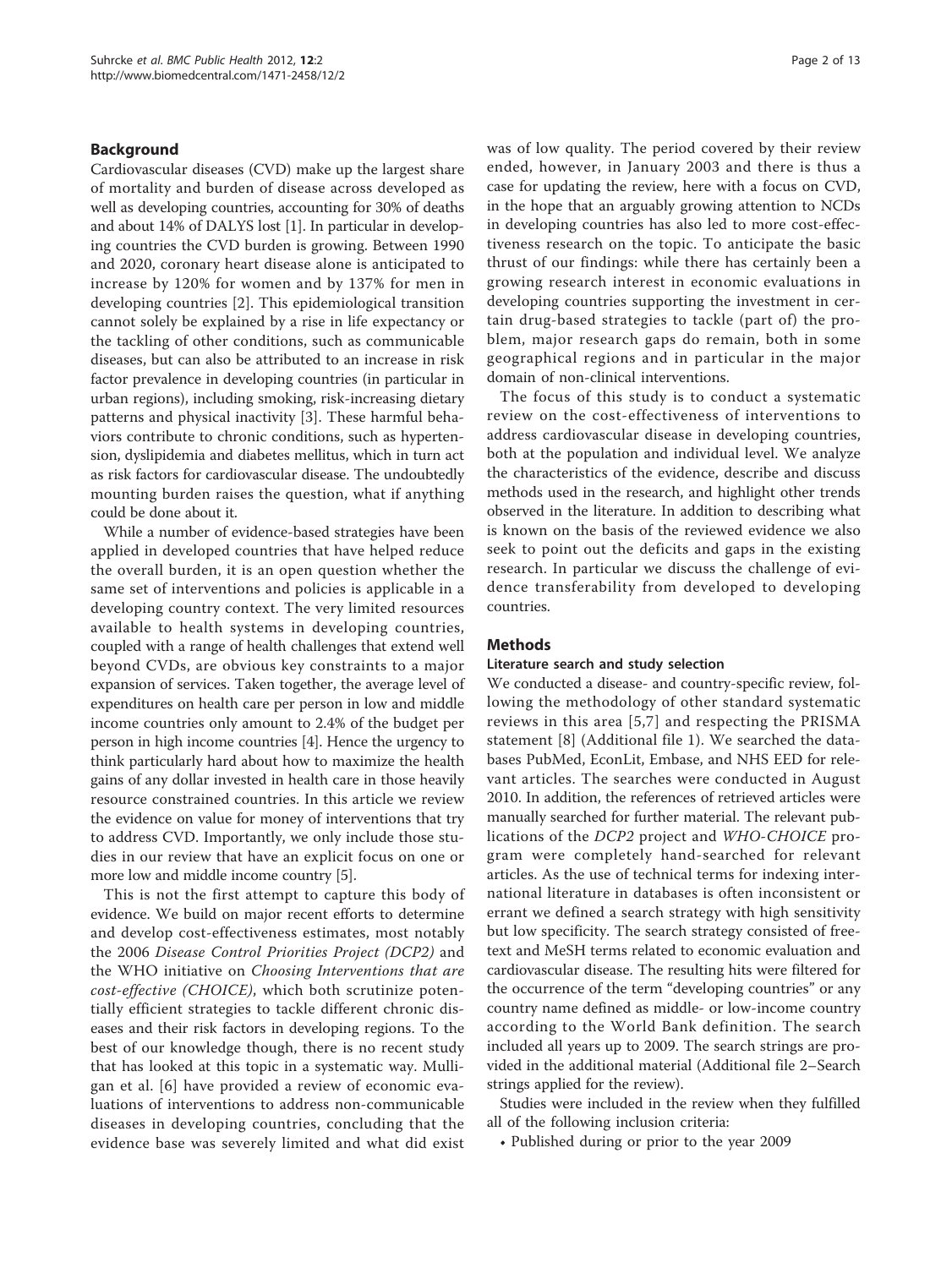# Background

Cardiovascular diseases (CVD) make up the largest share of mortality and burden of disease across developed as well as developing countries, accounting for 30% of deaths and about 14% of DALYS lost [\[1](#page-11-0)]. In particular in developing countries the CVD burden is growing. Between 1990 and 2020, coronary heart disease alone is anticipated to increase by 120% for women and by 137% for men in developing countries [[2\]](#page-11-0). This epidemiological transition cannot solely be explained by a rise in life expectancy or the tackling of other conditions, such as communicable diseases, but can also be attributed to an increase in risk factor prevalence in developing countries (in particular in urban regions), including smoking, risk-increasing dietary patterns and physical inactivity [\[3\]](#page-11-0). These harmful behaviors contribute to chronic conditions, such as hypertension, dyslipidemia and diabetes mellitus, which in turn act as risk factors for cardiovascular disease. The undoubtedly mounting burden raises the question, what if anything could be done about it.

While a number of evidence-based strategies have been applied in developed countries that have helped reduce the overall burden, it is an open question whether the same set of interventions and policies is applicable in a developing country context. The very limited resources available to health systems in developing countries, coupled with a range of health challenges that extend well beyond CVDs, are obvious key constraints to a major expansion of services. Taken together, the average level of expenditures on health care per person in low and middle income countries only amount to 2.4% of the budget per person in high income countries [[4\]](#page-11-0). Hence the urgency to think particularly hard about how to maximize the health gains of any dollar invested in health care in those heavily resource constrained countries. In this article we review the evidence on value for money of interventions that try to address CVD. Importantly, we only include those studies in our review that have an explicit focus on one or more low and middle income country [\[5\]](#page-11-0).

This is not the first attempt to capture this body of evidence. We build on major recent efforts to determine and develop cost-effectiveness estimates, most notably the 2006 Disease Control Priorities Project (DCP2) and the WHO initiative on Choosing Interventions that are cost-effective (CHOICE), which both scrutinize potentially efficient strategies to tackle different chronic diseases and their risk factors in developing regions. To the best of our knowledge though, there is no recent study that has looked at this topic in a systematic way. Mulligan et al. [[6](#page-11-0)] have provided a review of economic evaluations of interventions to address non-communicable diseases in developing countries, concluding that the evidence base was severely limited and what did exist was of low quality. The period covered by their review ended, however, in January 2003 and there is thus a case for updating the review, here with a focus on CVD, in the hope that an arguably growing attention to NCDs in developing countries has also led to more cost-effectiveness research on the topic. To anticipate the basic thrust of our findings: while there has certainly been a growing research interest in economic evaluations in developing countries supporting the investment in certain drug-based strategies to tackle (part of) the problem, major research gaps do remain, both in some geographical regions and in particular in the major domain of non-clinical interventions.

The focus of this study is to conduct a systematic review on the cost-effectiveness of interventions to address cardiovascular disease in developing countries, both at the population and individual level. We analyze the characteristics of the evidence, describe and discuss methods used in the research, and highlight other trends observed in the literature. In addition to describing what is known on the basis of the reviewed evidence we also seek to point out the deficits and gaps in the existing research. In particular we discuss the challenge of evidence transferability from developed to developing countries.

# Methods

#### Literature search and study selection

We conducted a disease- and country-specific review, following the methodology of other standard systematic reviews in this area [[5,7\]](#page-11-0) and respecting the PRISMA statement [\[8](#page-11-0)] (Additional file [1](#page-11-0)). We searched the databases PubMed, EconLit, Embase, and NHS EED for relevant articles. The searches were conducted in August 2010. In addition, the references of retrieved articles were manually searched for further material. The relevant publications of the DCP2 project and WHO-CHOICE program were completely hand-searched for relevant articles. As the use of technical terms for indexing international literature in databases is often inconsistent or errant we defined a search strategy with high sensitivity but low specificity. The search strategy consisted of freetext and MeSH terms related to economic evaluation and cardiovascular disease. The resulting hits were filtered for the occurrence of the term "developing countries" or any country name defined as middle- or low-income country according to the World Bank definition. The search included all years up to 2009. The search strings are provided in the additional material (Additional file [2](#page-11-0)–Search strings applied for the review).

Studies were included in the review when they fulfilled all of the following inclusion criteria:

• Published during or prior to the year 2009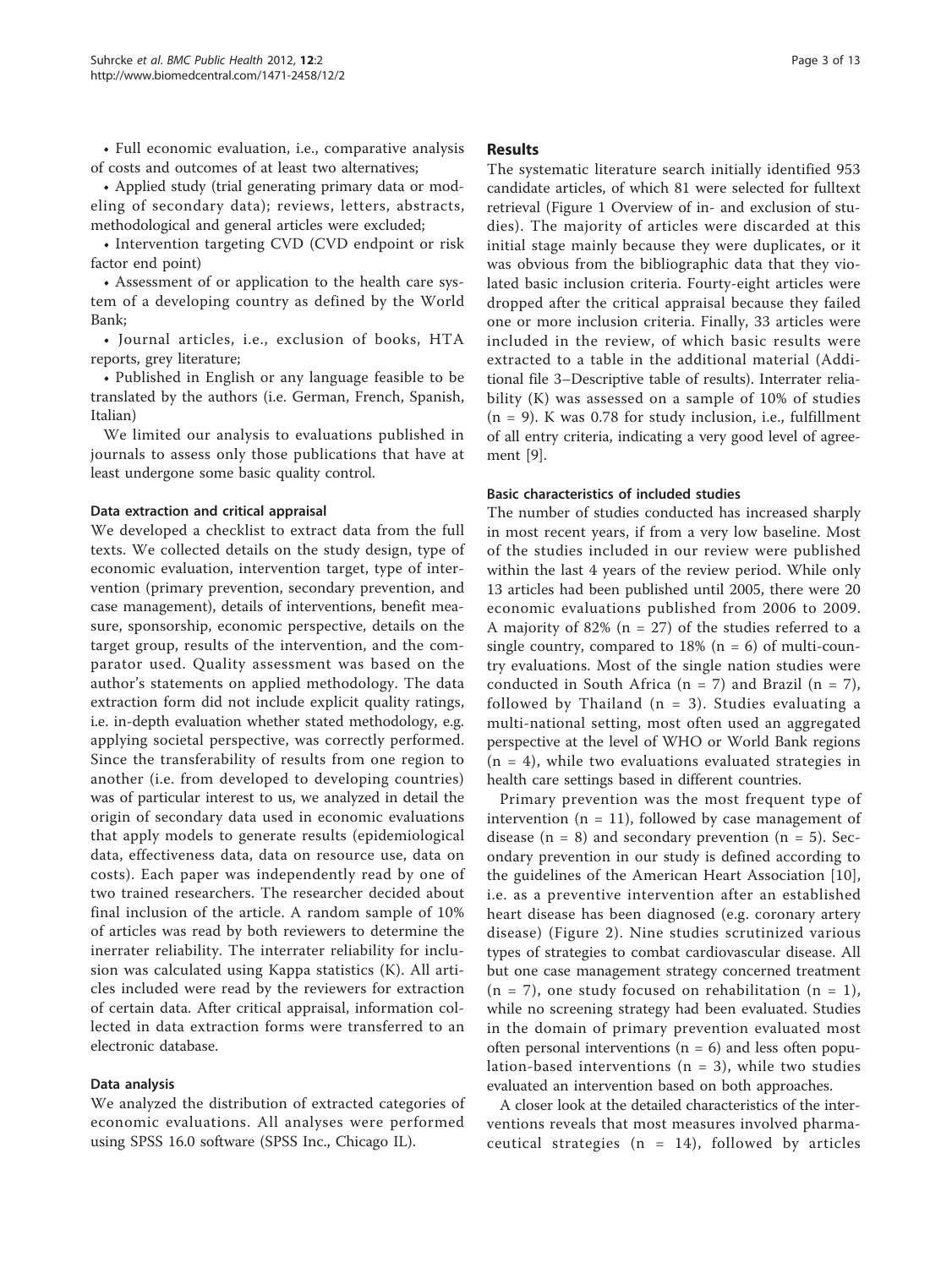• Full economic evaluation, i.e., comparative analysis of costs and outcomes of at least two alternatives;

• Applied study (trial generating primary data or modeling of secondary data); reviews, letters, abstracts, methodological and general articles were excluded;

• Intervention targeting CVD (CVD endpoint or risk factor end point)

• Assessment of or application to the health care system of a developing country as defined by the World Bank;

• Journal articles, i.e., exclusion of books, HTA reports, grey literature;

• Published in English or any language feasible to be translated by the authors (i.e. German, French, Spanish, Italian)

We limited our analysis to evaluations published in journals to assess only those publications that have at least undergone some basic quality control.

# Data extraction and critical appraisal

We developed a checklist to extract data from the full texts. We collected details on the study design, type of economic evaluation, intervention target, type of intervention (primary prevention, secondary prevention, and case management), details of interventions, benefit measure, sponsorship, economic perspective, details on the target group, results of the intervention, and the comparator used. Quality assessment was based on the author's statements on applied methodology. The data extraction form did not include explicit quality ratings, i.e. in-depth evaluation whether stated methodology, e.g. applying societal perspective, was correctly performed. Since the transferability of results from one region to another (i.e. from developed to developing countries) was of particular interest to us, we analyzed in detail the origin of secondary data used in economic evaluations that apply models to generate results (epidemiological data, effectiveness data, data on resource use, data on costs). Each paper was independently read by one of two trained researchers. The researcher decided about final inclusion of the article. A random sample of 10% of articles was read by both reviewers to determine the inerrater reliability. The interrater reliability for inclusion was calculated using Kappa statistics (K). All articles included were read by the reviewers for extraction of certain data. After critical appraisal, information collected in data extraction forms were transferred to an electronic database.

# Data analysis

We analyzed the distribution of extracted categories of economic evaluations. All analyses were performed using SPSS 16.0 software (SPSS Inc., Chicago IL).

# Results

The systematic literature search initially identified 953 candidate articles, of which 81 were selected for fulltext retrieval (Figure [1](#page-3-0) Overview of in- and exclusion of studies). The majority of articles were discarded at this initial stage mainly because they were duplicates, or it was obvious from the bibliographic data that they violated basic inclusion criteria. Fourty-eight articles were dropped after the critical appraisal because they failed one or more inclusion criteria. Finally, 33 articles were included in the review, of which basic results were extracted to a table in the additional material (Additional file [3](#page-11-0)–Descriptive table of results). Interrater reliability (K) was assessed on a sample of 10% of studies  $(n = 9)$ . K was 0.78 for study inclusion, i.e., fulfillment of all entry criteria, indicating a very good level of agreement [\[9](#page-11-0)].

# Basic characteristics of included studies

The number of studies conducted has increased sharply in most recent years, if from a very low baseline. Most of the studies included in our review were published within the last 4 years of the review period. While only 13 articles had been published until 2005, there were 20 economic evaluations published from 2006 to 2009. A majority of 82% ( $n = 27$ ) of the studies referred to a single country, compared to  $18\%$  (n = 6) of multi-country evaluations. Most of the single nation studies were conducted in South Africa ( $n = 7$ ) and Brazil ( $n = 7$ ), followed by Thailand  $(n = 3)$ . Studies evaluating a multi-national setting, most often used an aggregated perspective at the level of WHO or World Bank regions  $(n = 4)$ , while two evaluations evaluated strategies in health care settings based in different countries.

Primary prevention was the most frequent type of intervention  $(n = 11)$ , followed by case management of disease  $(n = 8)$  and secondary prevention  $(n = 5)$ . Secondary prevention in our study is defined according to the guidelines of the American Heart Association [[10](#page-11-0)], i.e. as a preventive intervention after an established heart disease has been diagnosed (e.g. coronary artery disease) (Figure [2](#page-3-0)). Nine studies scrutinized various types of strategies to combat cardiovascular disease. All but one case management strategy concerned treatment  $(n = 7)$ , one study focused on rehabilitation  $(n = 1)$ , while no screening strategy had been evaluated. Studies in the domain of primary prevention evaluated most often personal interventions ( $n = 6$ ) and less often population-based interventions ( $n = 3$ ), while two studies evaluated an intervention based on both approaches.

A closer look at the detailed characteristics of the interventions reveals that most measures involved pharmaceutical strategies ( $n = 14$ ), followed by articles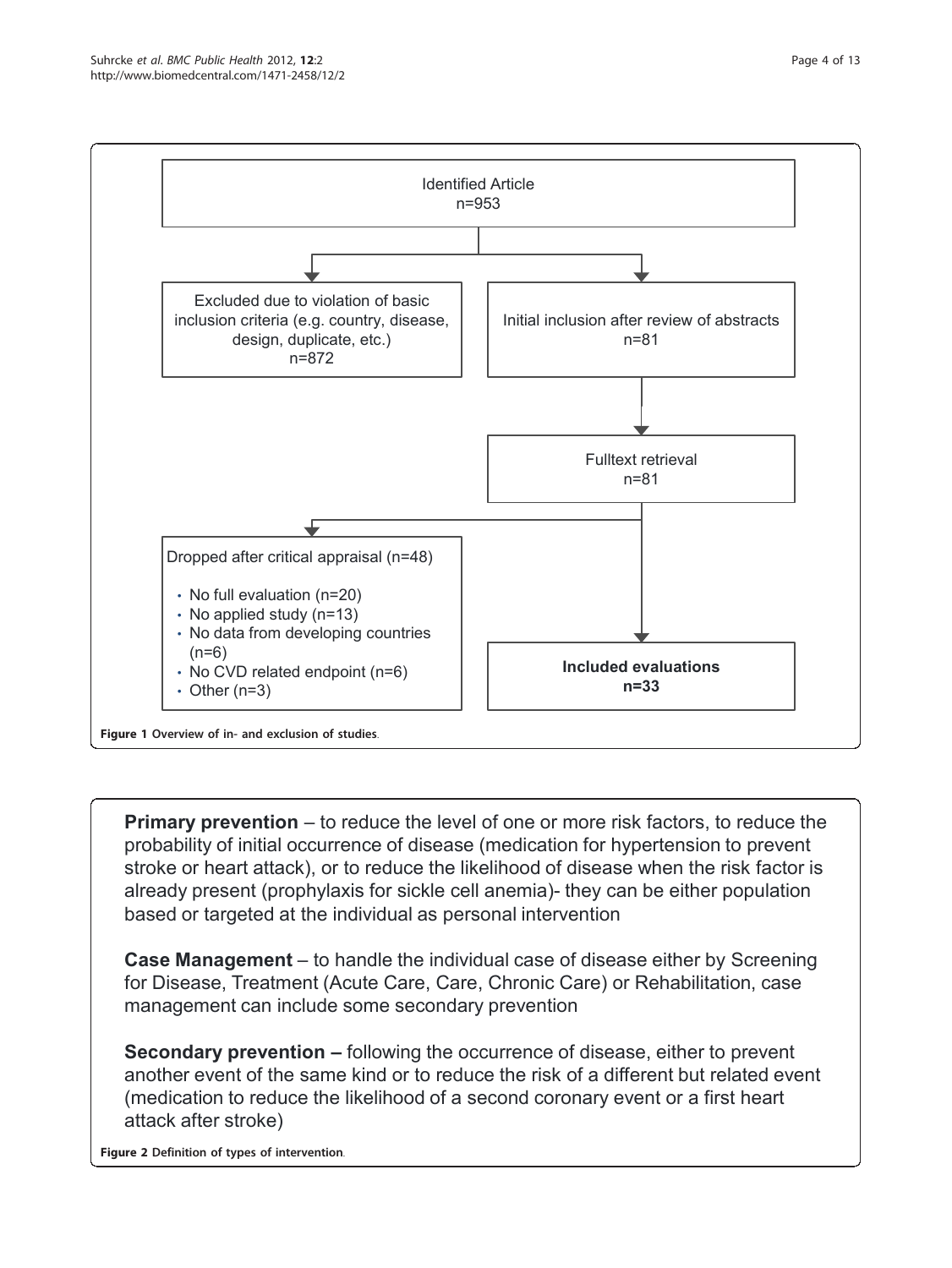<span id="page-3-0"></span>

**Primary prevention** – to reduce the level of one or more risk factors, to reduce the probability of initial occurrence of disease (medication for hypertension to prevent stroke or heart attack), or to reduce the likelihood of disease when the risk factor is already present (prophylaxis for sickle cell anemia)- they can be either population based or targeted at the individual as personal intervention

**Case Management** – to handle the individual case of disease either by Screening for Disease, Treatment (Acute Care, Care, Chronic Care) or Rehabilitation, case management can include some secondary prevention

**Secondary prevention –** following the occurrence of disease, either to prevent another event of the same kind or to reduce the risk of a different but related event (medication to reduce the likelihood of a second coronary event or a first heart attack after stroke)

Figure 2 Definition of types of intervention.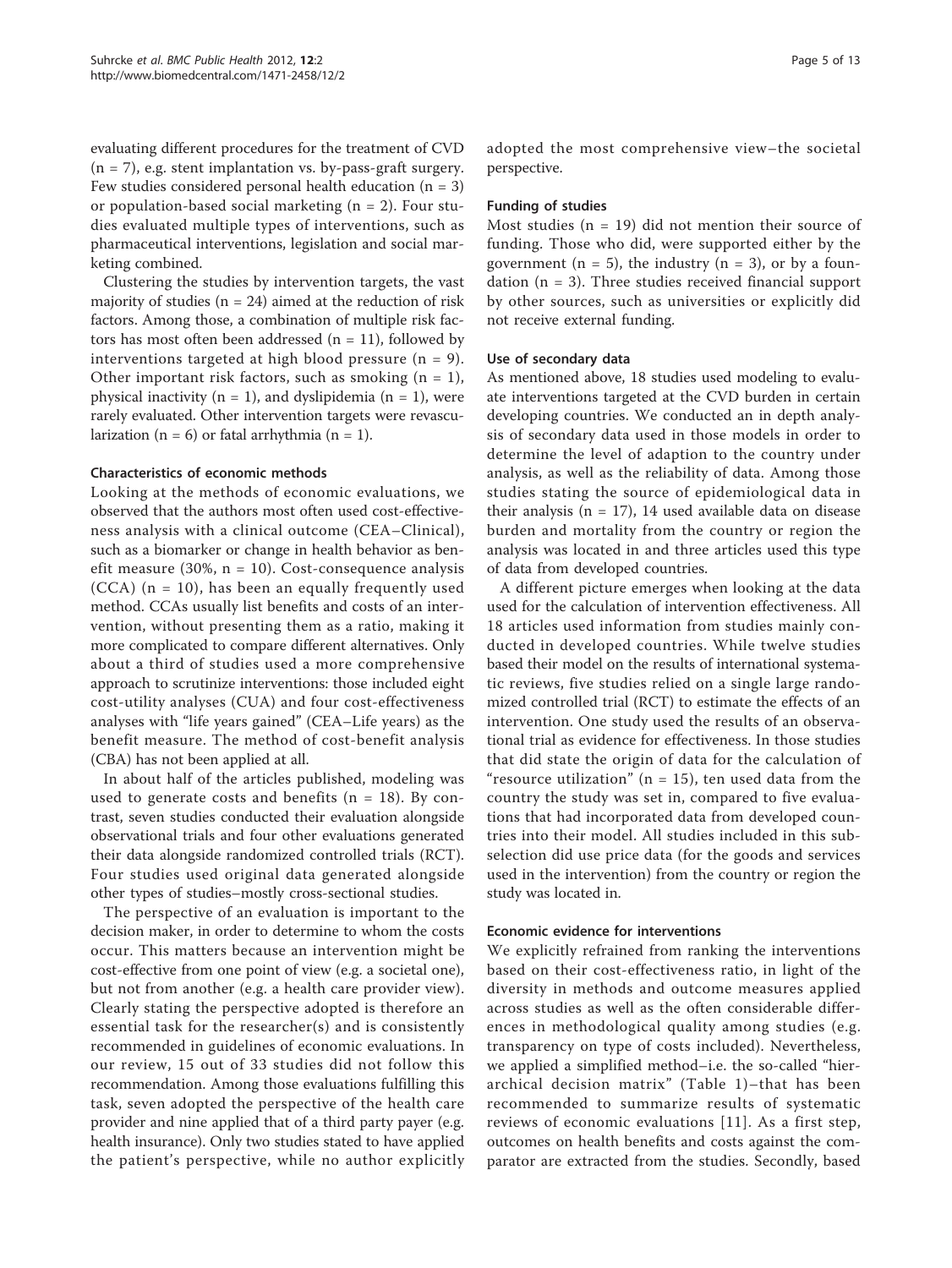evaluating different procedures for the treatment of CVD  $(n = 7)$ , e.g. stent implantation vs. by-pass-graft surgery. Few studies considered personal health education  $(n = 3)$ or population-based social marketing  $(n = 2)$ . Four studies evaluated multiple types of interventions, such as pharmaceutical interventions, legislation and social marketing combined.

Clustering the studies by intervention targets, the vast majority of studies ( $n = 24$ ) aimed at the reduction of risk factors. Among those, a combination of multiple risk factors has most often been addressed ( $n = 11$ ), followed by interventions targeted at high blood pressure  $(n = 9)$ . Other important risk factors, such as smoking  $(n = 1)$ , physical inactivity ( $n = 1$ ), and dyslipidemia ( $n = 1$ ), were rarely evaluated. Other intervention targets were revascularization ( $n = 6$ ) or fatal arrhythmia ( $n = 1$ ).

# Characteristics of economic methods

Looking at the methods of economic evaluations, we observed that the authors most often used cost-effectiveness analysis with a clinical outcome (CEA–Clinical), such as a biomarker or change in health behavior as benefit measure (30%,  $n = 10$ ). Cost-consequence analysis (CCA)  $(n = 10)$ , has been an equally frequently used method. CCAs usually list benefits and costs of an intervention, without presenting them as a ratio, making it more complicated to compare different alternatives. Only about a third of studies used a more comprehensive approach to scrutinize interventions: those included eight cost-utility analyses (CUA) and four cost-effectiveness analyses with "life years gained" (CEA–Life years) as the benefit measure. The method of cost-benefit analysis (CBA) has not been applied at all.

In about half of the articles published, modeling was used to generate costs and benefits ( $n = 18$ ). By contrast, seven studies conducted their evaluation alongside observational trials and four other evaluations generated their data alongside randomized controlled trials (RCT). Four studies used original data generated alongside other types of studies–mostly cross-sectional studies.

The perspective of an evaluation is important to the decision maker, in order to determine to whom the costs occur. This matters because an intervention might be cost-effective from one point of view (e.g. a societal one), but not from another (e.g. a health care provider view). Clearly stating the perspective adopted is therefore an essential task for the researcher(s) and is consistently recommended in guidelines of economic evaluations. In our review, 15 out of 33 studies did not follow this recommendation. Among those evaluations fulfilling this task, seven adopted the perspective of the health care provider and nine applied that of a third party payer (e.g. health insurance). Only two studies stated to have applied the patient's perspective, while no author explicitly adopted the most comprehensive view–the societal perspective.

#### Funding of studies

Most studies ( $n = 19$ ) did not mention their source of funding. Those who did, were supported either by the government ( $n = 5$ ), the industry ( $n = 3$ ), or by a foundation  $(n = 3)$ . Three studies received financial support by other sources, such as universities or explicitly did not receive external funding.

#### Use of secondary data

As mentioned above, 18 studies used modeling to evaluate interventions targeted at the CVD burden in certain developing countries. We conducted an in depth analysis of secondary data used in those models in order to determine the level of adaption to the country under analysis, as well as the reliability of data. Among those studies stating the source of epidemiological data in their analysis ( $n = 17$ ), 14 used available data on disease burden and mortality from the country or region the analysis was located in and three articles used this type of data from developed countries.

A different picture emerges when looking at the data used for the calculation of intervention effectiveness. All 18 articles used information from studies mainly conducted in developed countries. While twelve studies based their model on the results of international systematic reviews, five studies relied on a single large randomized controlled trial (RCT) to estimate the effects of an intervention. One study used the results of an observational trial as evidence for effectiveness. In those studies that did state the origin of data for the calculation of "resource utilization" ( $n = 15$ ), ten used data from the country the study was set in, compared to five evaluations that had incorporated data from developed countries into their model. All studies included in this subselection did use price data (for the goods and services used in the intervention) from the country or region the study was located in.

#### Economic evidence for interventions

We explicitly refrained from ranking the interventions based on their cost-effectiveness ratio, in light of the diversity in methods and outcome measures applied across studies as well as the often considerable differences in methodological quality among studies (e.g. transparency on type of costs included). Nevertheless, we applied a simplified method–i.e. the so-called "hierarchical decision matrix" (Table [1](#page-5-0))–that has been recommended to summarize results of systematic reviews of economic evaluations [[11\]](#page-11-0). As a first step, outcomes on health benefits and costs against the comparator are extracted from the studies. Secondly, based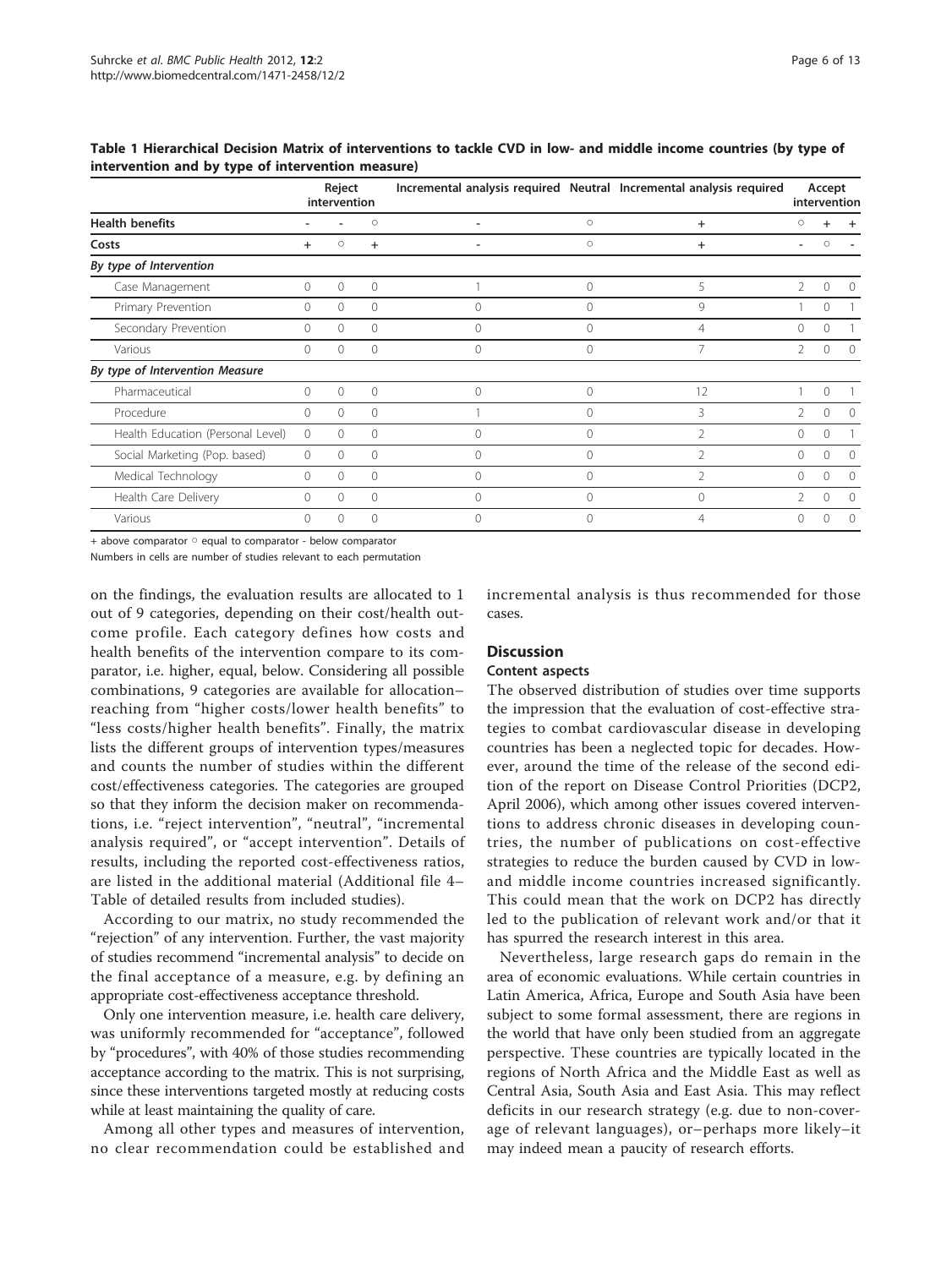| <b>Health benefits</b>            | Reject<br>intervention |            |              |            |              | Incremental analysis required Neutral Incremental analysis required | Accept<br>intervention |          |          |
|-----------------------------------|------------------------|------------|--------------|------------|--------------|---------------------------------------------------------------------|------------------------|----------|----------|
|                                   |                        |            | $\circ$      | ٠          | $\circ$      | $\ddot{}$                                                           | $\circ$                |          |          |
| Costs                             | $\ddot{}$              | $\circ$    | $\ddot{}$    |            | $\circ$      | $\ddot{}$                                                           |                        | Ω        |          |
| By type of Intervention           |                        |            |              |            |              |                                                                     |                        |          |          |
| Case Management                   | $\Omega$               | $\circ$    | $\mathbf{0}$ |            | $\mathbf{0}$ | 5                                                                   | $\mathfrak{D}$         | $\Omega$ | $\Omega$ |
| Primary Prevention                | $\Omega$               | $\Omega$   | $\Omega$     | $\Omega$   | $\mathbf{0}$ | 9                                                                   |                        | 0        |          |
| Secondary Prevention              | 0                      | $\Omega$   | $\Omega$     | $\bigcap$  | $\Omega$     | 4                                                                   |                        |          |          |
| Various                           | $\Omega$               | $\Omega$   | $\Omega$     | $\bigcirc$ | $\Omega$     |                                                                     | $\mathfrak{D}$         | $\Omega$ |          |
| By type of Intervention Measure   |                        |            |              |            |              |                                                                     |                        |          |          |
| Pharmaceutical                    | $\Omega$               | $\circ$    | $\circ$      | $\circ$    | $\mathbf{0}$ | 12                                                                  |                        | 0        |          |
| Procedure                         | $\Omega$               | $\bigcirc$ | $\Omega$     |            | $\Omega$     | 3                                                                   |                        | $\Omega$ |          |
| Health Education (Personal Level) | $\Omega$               | $\bigcirc$ | $\Omega$     | $\bigcap$  | $\Omega$     | V                                                                   |                        |          |          |
| Social Marketing (Pop. based)     | 0                      | $\Omega$   | $\Omega$     | 0          | $\Omega$     |                                                                     |                        | $\Omega$ |          |
| Medical Technology                | $\Omega$               | $\Omega$   | $\Omega$     | $\circ$    | $\Omega$     | 2                                                                   |                        |          |          |
| Health Care Delivery              | $\Omega$               | $\circ$    | $\circ$      | 0          | $\circ$      | $\Omega$                                                            |                        |          |          |
| Various                           | 0                      | $\Omega$   | $\bigcap$    | $\bigcap$  | $\Omega$     | 4                                                                   |                        |          |          |

<span id="page-5-0"></span>Table 1 Hierarchical Decision Matrix of interventions to tackle CVD in low- and middle income countries (by type of intervention and by type of intervention measure)

+ above comparator  $\circ$  equal to comparator - below comparator

Numbers in cells are number of studies relevant to each permutation

on the findings, the evaluation results are allocated to 1 out of 9 categories, depending on their cost/health outcome profile. Each category defines how costs and health benefits of the intervention compare to its comparator, i.e. higher, equal, below. Considering all possible combinations, 9 categories are available for allocation– reaching from "higher costs/lower health benefits" to "less costs/higher health benefits". Finally, the matrix lists the different groups of intervention types/measures and counts the number of studies within the different cost/effectiveness categories. The categories are grouped so that they inform the decision maker on recommendations, i.e. "reject intervention", "neutral", "incremental analysis required", or "accept intervention". Details of results, including the reported cost-effectiveness ratios, are listed in the additional material (Additional file [4](#page-11-0)– Table of detailed results from included studies).

According to our matrix, no study recommended the "rejection" of any intervention. Further, the vast majority of studies recommend "incremental analysis" to decide on the final acceptance of a measure, e.g. by defining an appropriate cost-effectiveness acceptance threshold.

Only one intervention measure, i.e. health care delivery, was uniformly recommended for "acceptance", followed by "procedures", with 40% of those studies recommending acceptance according to the matrix. This is not surprising, since these interventions targeted mostly at reducing costs while at least maintaining the quality of care.

Among all other types and measures of intervention, no clear recommendation could be established and incremental analysis is thus recommended for those cases.

# **Discussion**

# Content aspects

The observed distribution of studies over time supports the impression that the evaluation of cost-effective strategies to combat cardiovascular disease in developing countries has been a neglected topic for decades. However, around the time of the release of the second edition of the report on Disease Control Priorities (DCP2, April 2006), which among other issues covered interventions to address chronic diseases in developing countries, the number of publications on cost-effective strategies to reduce the burden caused by CVD in lowand middle income countries increased significantly. This could mean that the work on DCP2 has directly led to the publication of relevant work and/or that it has spurred the research interest in this area.

Nevertheless, large research gaps do remain in the area of economic evaluations. While certain countries in Latin America, Africa, Europe and South Asia have been subject to some formal assessment, there are regions in the world that have only been studied from an aggregate perspective. These countries are typically located in the regions of North Africa and the Middle East as well as Central Asia, South Asia and East Asia. This may reflect deficits in our research strategy (e.g. due to non-coverage of relevant languages), or–perhaps more likely–it may indeed mean a paucity of research efforts.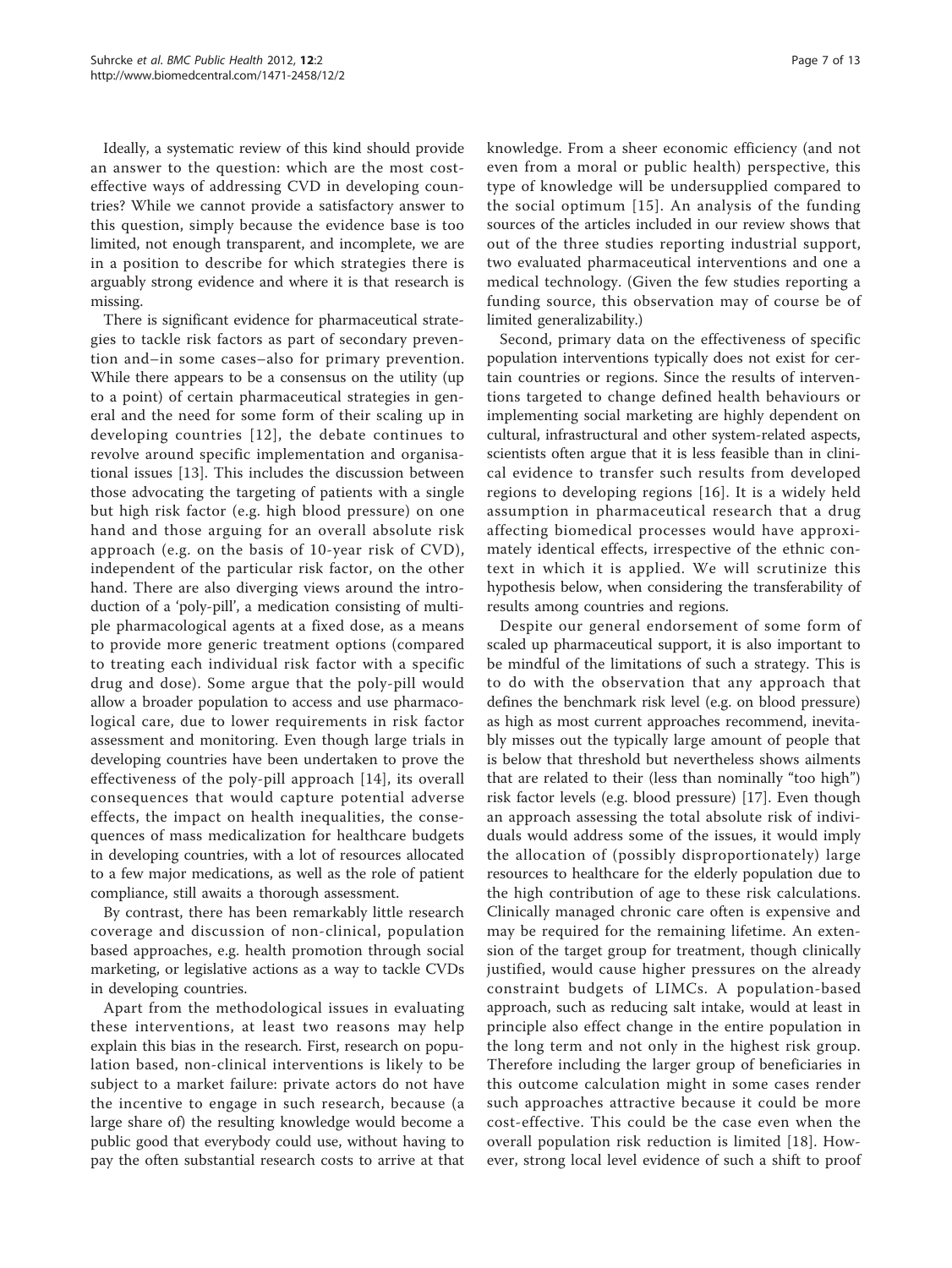Ideally, a systematic review of this kind should provide an answer to the question: which are the most costeffective ways of addressing CVD in developing countries? While we cannot provide a satisfactory answer to this question, simply because the evidence base is too limited, not enough transparent, and incomplete, we are in a position to describe for which strategies there is arguably strong evidence and where it is that research is missing.

There is significant evidence for pharmaceutical strategies to tackle risk factors as part of secondary prevention and–in some cases–also for primary prevention. While there appears to be a consensus on the utility (up to a point) of certain pharmaceutical strategies in general and the need for some form of their scaling up in developing countries [[12\]](#page-11-0), the debate continues to revolve around specific implementation and organisational issues [[13\]](#page-11-0). This includes the discussion between those advocating the targeting of patients with a single but high risk factor (e.g. high blood pressure) on one hand and those arguing for an overall absolute risk approach (e.g. on the basis of 10-year risk of CVD), independent of the particular risk factor, on the other hand. There are also diverging views around the introduction of a 'poly-pill', a medication consisting of multiple pharmacological agents at a fixed dose, as a means to provide more generic treatment options (compared to treating each individual risk factor with a specific drug and dose). Some argue that the poly-pill would allow a broader population to access and use pharmacological care, due to lower requirements in risk factor assessment and monitoring. Even though large trials in developing countries have been undertaken to prove the effectiveness of the poly-pill approach [[14](#page-11-0)], its overall consequences that would capture potential adverse effects, the impact on health inequalities, the consequences of mass medicalization for healthcare budgets in developing countries, with a lot of resources allocated to a few major medications, as well as the role of patient compliance, still awaits a thorough assessment.

By contrast, there has been remarkably little research coverage and discussion of non-clinical, population based approaches, e.g. health promotion through social marketing, or legislative actions as a way to tackle CVDs in developing countries.

Apart from the methodological issues in evaluating these interventions, at least two reasons may help explain this bias in the research. First, research on population based, non-clinical interventions is likely to be subject to a market failure: private actors do not have the incentive to engage in such research, because (a large share of) the resulting knowledge would become a public good that everybody could use, without having to pay the often substantial research costs to arrive at that knowledge. From a sheer economic efficiency (and not even from a moral or public health) perspective, this type of knowledge will be undersupplied compared to the social optimum [[15\]](#page-11-0). An analysis of the funding sources of the articles included in our review shows that out of the three studies reporting industrial support, two evaluated pharmaceutical interventions and one a medical technology. (Given the few studies reporting a funding source, this observation may of course be of limited generalizability.)

Second, primary data on the effectiveness of specific population interventions typically does not exist for certain countries or regions. Since the results of interventions targeted to change defined health behaviours or implementing social marketing are highly dependent on cultural, infrastructural and other system-related aspects, scientists often argue that it is less feasible than in clinical evidence to transfer such results from developed regions to developing regions [[16\]](#page-11-0). It is a widely held assumption in pharmaceutical research that a drug affecting biomedical processes would have approximately identical effects, irrespective of the ethnic context in which it is applied. We will scrutinize this hypothesis below, when considering the transferability of results among countries and regions.

Despite our general endorsement of some form of scaled up pharmaceutical support, it is also important to be mindful of the limitations of such a strategy. This is to do with the observation that any approach that defines the benchmark risk level (e.g. on blood pressure) as high as most current approaches recommend, inevitably misses out the typically large amount of people that is below that threshold but nevertheless shows ailments that are related to their (less than nominally "too high") risk factor levels (e.g. blood pressure) [\[17](#page-11-0)]. Even though an approach assessing the total absolute risk of individuals would address some of the issues, it would imply the allocation of (possibly disproportionately) large resources to healthcare for the elderly population due to the high contribution of age to these risk calculations. Clinically managed chronic care often is expensive and may be required for the remaining lifetime. An extension of the target group for treatment, though clinically justified, would cause higher pressures on the already constraint budgets of LIMCs. A population-based approach, such as reducing salt intake, would at least in principle also effect change in the entire population in the long term and not only in the highest risk group. Therefore including the larger group of beneficiaries in this outcome calculation might in some cases render such approaches attractive because it could be more cost-effective. This could be the case even when the overall population risk reduction is limited [[18\]](#page-11-0). However, strong local level evidence of such a shift to proof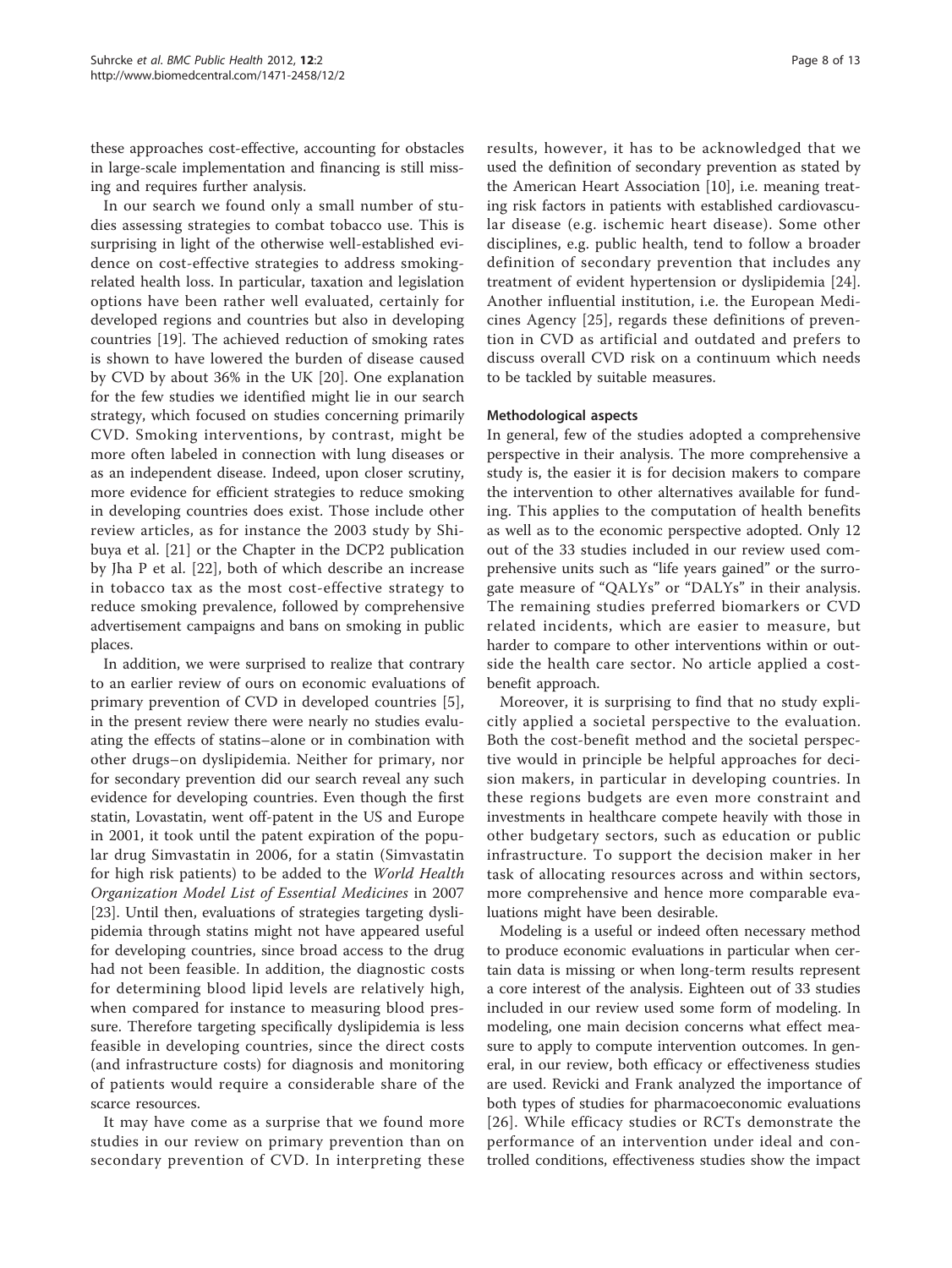these approaches cost-effective, accounting for obstacles in large-scale implementation and financing is still missing and requires further analysis.

In our search we found only a small number of studies assessing strategies to combat tobacco use. This is surprising in light of the otherwise well-established evidence on cost-effective strategies to address smokingrelated health loss. In particular, taxation and legislation options have been rather well evaluated, certainly for developed regions and countries but also in developing countries [\[19](#page-11-0)]. The achieved reduction of smoking rates is shown to have lowered the burden of disease caused by CVD by about 36% in the UK [\[20](#page-12-0)]. One explanation for the few studies we identified might lie in our search strategy, which focused on studies concerning primarily CVD. Smoking interventions, by contrast, might be more often labeled in connection with lung diseases or as an independent disease. Indeed, upon closer scrutiny, more evidence for efficient strategies to reduce smoking in developing countries does exist. Those include other review articles, as for instance the 2003 study by Shibuya et al. [[21](#page-12-0)] or the Chapter in the DCP2 publication by Jha P et al. [\[22](#page-12-0)], both of which describe an increase in tobacco tax as the most cost-effective strategy to reduce smoking prevalence, followed by comprehensive advertisement campaigns and bans on smoking in public places.

In addition, we were surprised to realize that contrary to an earlier review of ours on economic evaluations of primary prevention of CVD in developed countries [[5](#page-11-0)], in the present review there were nearly no studies evaluating the effects of statins–alone or in combination with other drugs–on dyslipidemia. Neither for primary, nor for secondary prevention did our search reveal any such evidence for developing countries. Even though the first statin, Lovastatin, went off-patent in the US and Europe in 2001, it took until the patent expiration of the popular drug Simvastatin in 2006, for a statin (Simvastatin for high risk patients) to be added to the World Health Organization Model List of Essential Medicines in 2007 [[23\]](#page-12-0). Until then, evaluations of strategies targeting dyslipidemia through statins might not have appeared useful for developing countries, since broad access to the drug had not been feasible. In addition, the diagnostic costs for determining blood lipid levels are relatively high, when compared for instance to measuring blood pressure. Therefore targeting specifically dyslipidemia is less feasible in developing countries, since the direct costs (and infrastructure costs) for diagnosis and monitoring of patients would require a considerable share of the scarce resources.

It may have come as a surprise that we found more studies in our review on primary prevention than on secondary prevention of CVD. In interpreting these

results, however, it has to be acknowledged that we used the definition of secondary prevention as stated by the American Heart Association [[10](#page-11-0)], i.e. meaning treating risk factors in patients with established cardiovascular disease (e.g. ischemic heart disease). Some other disciplines, e.g. public health, tend to follow a broader definition of secondary prevention that includes any treatment of evident hypertension or dyslipidemia [[24](#page-12-0)]. Another influential institution, i.e. the European Medicines Agency [\[25\]](#page-12-0), regards these definitions of prevention in CVD as artificial and outdated and prefers to discuss overall CVD risk on a continuum which needs to be tackled by suitable measures.

#### Methodological aspects

In general, few of the studies adopted a comprehensive perspective in their analysis. The more comprehensive a study is, the easier it is for decision makers to compare the intervention to other alternatives available for funding. This applies to the computation of health benefits as well as to the economic perspective adopted. Only 12 out of the 33 studies included in our review used comprehensive units such as "life years gained" or the surrogate measure of "QALYs" or "DALYs" in their analysis. The remaining studies preferred biomarkers or CVD related incidents, which are easier to measure, but harder to compare to other interventions within or outside the health care sector. No article applied a costbenefit approach.

Moreover, it is surprising to find that no study explicitly applied a societal perspective to the evaluation. Both the cost-benefit method and the societal perspective would in principle be helpful approaches for decision makers, in particular in developing countries. In these regions budgets are even more constraint and investments in healthcare compete heavily with those in other budgetary sectors, such as education or public infrastructure. To support the decision maker in her task of allocating resources across and within sectors, more comprehensive and hence more comparable evaluations might have been desirable.

Modeling is a useful or indeed often necessary method to produce economic evaluations in particular when certain data is missing or when long-term results represent a core interest of the analysis. Eighteen out of 33 studies included in our review used some form of modeling. In modeling, one main decision concerns what effect measure to apply to compute intervention outcomes. In general, in our review, both efficacy or effectiveness studies are used. Revicki and Frank analyzed the importance of both types of studies for pharmacoeconomic evaluations [[26\]](#page-12-0). While efficacy studies or RCTs demonstrate the performance of an intervention under ideal and controlled conditions, effectiveness studies show the impact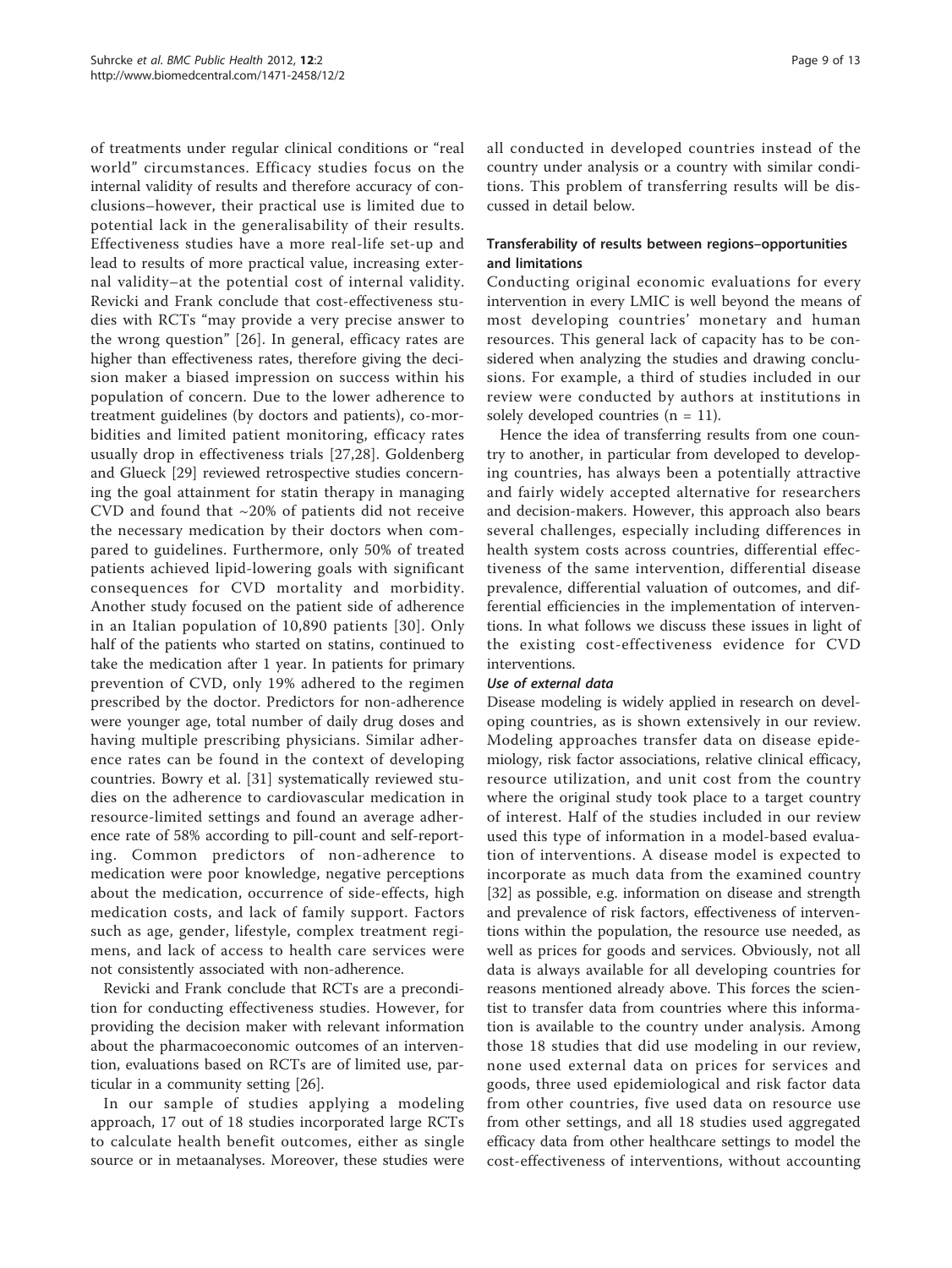of treatments under regular clinical conditions or "real world" circumstances. Efficacy studies focus on the internal validity of results and therefore accuracy of conclusions–however, their practical use is limited due to potential lack in the generalisability of their results. Effectiveness studies have a more real-life set-up and lead to results of more practical value, increasing external validity–at the potential cost of internal validity. Revicki and Frank conclude that cost-effectiveness studies with RCTs "may provide a very precise answer to the wrong question" [[26\]](#page-12-0). In general, efficacy rates are higher than effectiveness rates, therefore giving the decision maker a biased impression on success within his population of concern. Due to the lower adherence to treatment guidelines (by doctors and patients), co-morbidities and limited patient monitoring, efficacy rates usually drop in effectiveness trials [\[27,28](#page-12-0)]. Goldenberg and Glueck [[29](#page-12-0)] reviewed retrospective studies concerning the goal attainment for statin therapy in managing CVD and found that ~20% of patients did not receive the necessary medication by their doctors when compared to guidelines. Furthermore, only 50% of treated patients achieved lipid-lowering goals with significant consequences for CVD mortality and morbidity. Another study focused on the patient side of adherence in an Italian population of 10,890 patients [[30](#page-12-0)]. Only half of the patients who started on statins, continued to take the medication after 1 year. In patients for primary prevention of CVD, only 19% adhered to the regimen prescribed by the doctor. Predictors for non-adherence were younger age, total number of daily drug doses and having multiple prescribing physicians. Similar adherence rates can be found in the context of developing countries. Bowry et al. [\[31](#page-12-0)] systematically reviewed studies on the adherence to cardiovascular medication in resource-limited settings and found an average adherence rate of 58% according to pill-count and self-reporting. Common predictors of non-adherence to medication were poor knowledge, negative perceptions about the medication, occurrence of side-effects, high medication costs, and lack of family support. Factors such as age, gender, lifestyle, complex treatment regimens, and lack of access to health care services were not consistently associated with non-adherence.

Revicki and Frank conclude that RCTs are a precondition for conducting effectiveness studies. However, for providing the decision maker with relevant information about the pharmacoeconomic outcomes of an intervention, evaluations based on RCTs are of limited use, particular in a community setting [[26\]](#page-12-0).

In our sample of studies applying a modeling approach, 17 out of 18 studies incorporated large RCTs to calculate health benefit outcomes, either as single source or in metaanalyses. Moreover, these studies were all conducted in developed countries instead of the country under analysis or a country with similar conditions. This problem of transferring results will be discussed in detail below.

# Transferability of results between regions–opportunities and limitations

Conducting original economic evaluations for every intervention in every LMIC is well beyond the means of most developing countries' monetary and human resources. This general lack of capacity has to be considered when analyzing the studies and drawing conclusions. For example, a third of studies included in our review were conducted by authors at institutions in solely developed countries  $(n = 11)$ .

Hence the idea of transferring results from one country to another, in particular from developed to developing countries, has always been a potentially attractive and fairly widely accepted alternative for researchers and decision-makers. However, this approach also bears several challenges, especially including differences in health system costs across countries, differential effectiveness of the same intervention, differential disease prevalence, differential valuation of outcomes, and differential efficiencies in the implementation of interventions. In what follows we discuss these issues in light of the existing cost-effectiveness evidence for CVD interventions.

# Use of external data

Disease modeling is widely applied in research on developing countries, as is shown extensively in our review. Modeling approaches transfer data on disease epidemiology, risk factor associations, relative clinical efficacy, resource utilization, and unit cost from the country where the original study took place to a target country of interest. Half of the studies included in our review used this type of information in a model-based evaluation of interventions. A disease model is expected to incorporate as much data from the examined country [[32\]](#page-12-0) as possible, e.g. information on disease and strength and prevalence of risk factors, effectiveness of interventions within the population, the resource use needed, as well as prices for goods and services. Obviously, not all data is always available for all developing countries for reasons mentioned already above. This forces the scientist to transfer data from countries where this information is available to the country under analysis. Among those 18 studies that did use modeling in our review, none used external data on prices for services and goods, three used epidemiological and risk factor data from other countries, five used data on resource use from other settings, and all 18 studies used aggregated efficacy data from other healthcare settings to model the cost-effectiveness of interventions, without accounting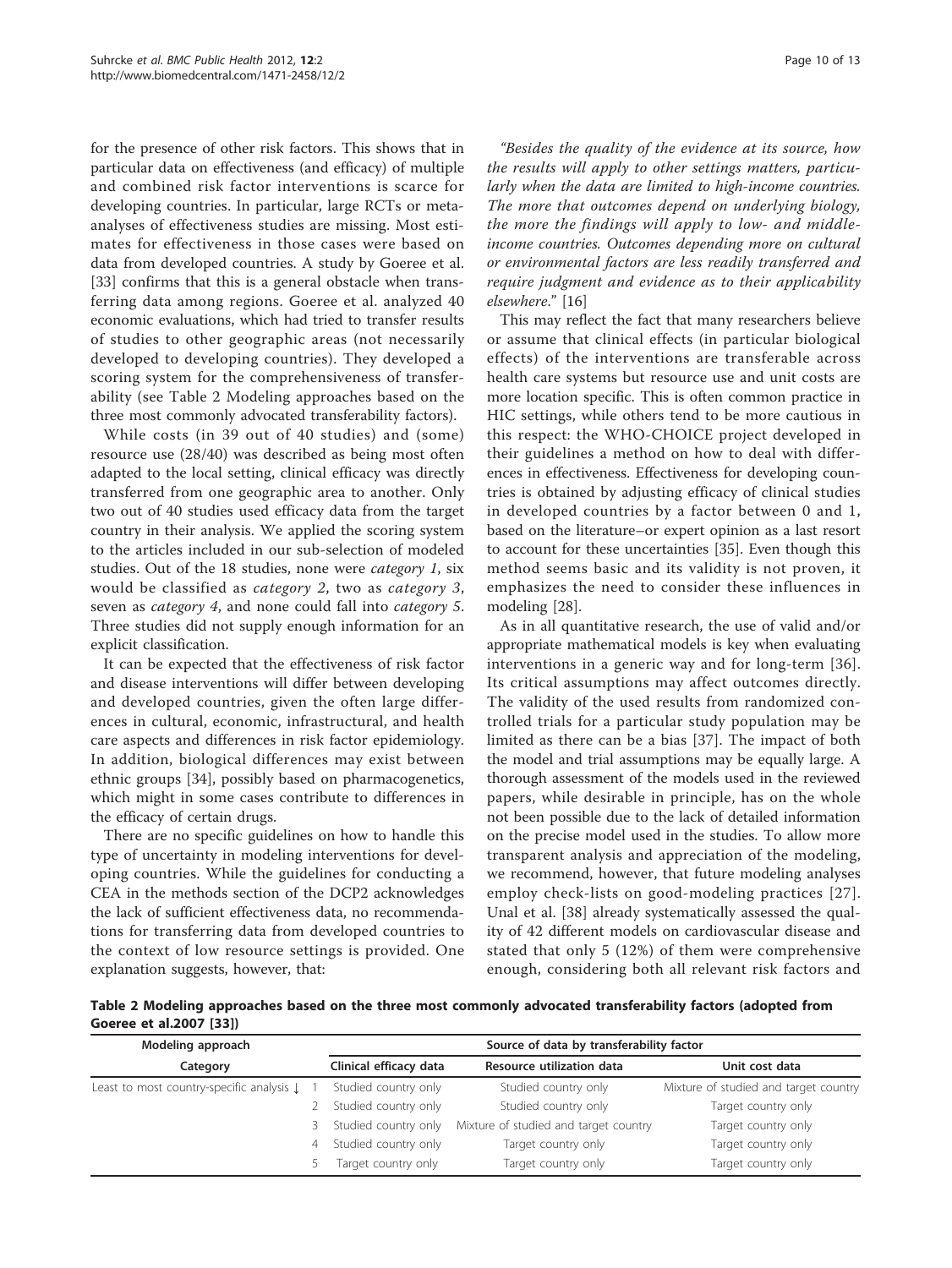for the presence of other risk factors. This shows that in particular data on effectiveness (and efficacy) of multiple and combined risk factor interventions is scarce for developing countries. In particular, large RCTs or metaanalyses of effectiveness studies are missing. Most estimates for effectiveness in those cases were based on data from developed countries. A study by Goeree et al. [[33\]](#page-12-0) confirms that this is a general obstacle when transferring data among regions. Goeree et al. analyzed 40 economic evaluations, which had tried to transfer results of studies to other geographic areas (not necessarily developed to developing countries). They developed a scoring system for the comprehensiveness of transferability (see Table 2 Modeling approaches based on the three most commonly advocated transferability factors).

While costs (in 39 out of 40 studies) and (some) resource use (28/40) was described as being most often adapted to the local setting, clinical efficacy was directly transferred from one geographic area to another. Only two out of 40 studies used efficacy data from the target country in their analysis. We applied the scoring system to the articles included in our sub-selection of modeled studies. Out of the 18 studies, none were category 1, six would be classified as category 2, two as category 3, seven as *category 4*, and none could fall into *category 5*. Three studies did not supply enough information for an explicit classification.

It can be expected that the effectiveness of risk factor and disease interventions will differ between developing and developed countries, given the often large differences in cultural, economic, infrastructural, and health care aspects and differences in risk factor epidemiology. In addition, biological differences may exist between ethnic groups [[34\]](#page-12-0), possibly based on pharmacogenetics, which might in some cases contribute to differences in the efficacy of certain drugs.

There are no specific guidelines on how to handle this type of uncertainty in modeling interventions for developing countries. While the guidelines for conducting a CEA in the methods section of the DCP2 acknowledges the lack of sufficient effectiveness data, no recommendations for transferring data from developed countries to the context of low resource settings is provided. One explanation suggests, however, that:

"Besides the quality of the evidence at its source, how the results will apply to other settings matters, particularly when the data are limited to high-income countries. The more that outcomes depend on underlying biology, the more the findings will apply to low- and middleincome countries. Outcomes depending more on cultural or environmental factors are less readily transferred and require judgment and evidence as to their applicability elsewhere." [[16\]](#page-11-0)

This may reflect the fact that many researchers believe or assume that clinical effects (in particular biological effects) of the interventions are transferable across health care systems but resource use and unit costs are more location specific. This is often common practice in HIC settings, while others tend to be more cautious in this respect: the WHO-CHOICE project developed in their guidelines a method on how to deal with differences in effectiveness. Effectiveness for developing countries is obtained by adjusting efficacy of clinical studies in developed countries by a factor between 0 and 1, based on the literature–or expert opinion as a last resort to account for these uncertainties [\[35\]](#page-12-0). Even though this method seems basic and its validity is not proven, it emphasizes the need to consider these influences in modeling [\[28\]](#page-12-0).

As in all quantitative research, the use of valid and/or appropriate mathematical models is key when evaluating interventions in a generic way and for long-term [[36](#page-12-0)]. Its critical assumptions may affect outcomes directly. The validity of the used results from randomized controlled trials for a particular study population may be limited as there can be a bias [[37\]](#page-12-0). The impact of both the model and trial assumptions may be equally large. A thorough assessment of the models used in the reviewed papers, while desirable in principle, has on the whole not been possible due to the lack of detailed information on the precise model used in the studies. To allow more transparent analysis and appreciation of the modeling, we recommend, however, that future modeling analyses employ check-lists on good-modeling practices [\[27\]](#page-12-0). Unal et al. [[38](#page-12-0)] already systematically assessed the quality of 42 different models on cardiovascular disease and stated that only 5 (12%) of them were comprehensive enough, considering both all relevant risk factors and

Table 2 Modeling approaches based on the three most commonly advocated transferability factors (adopted from Goeree et al.2007 [\[33\]](#page-12-0))

| Modeling approach                                    |                | Source of data by transferability factor |                                       |                                       |  |  |  |  |
|------------------------------------------------------|----------------|------------------------------------------|---------------------------------------|---------------------------------------|--|--|--|--|
| Category                                             |                | Clinical efficacy data                   | Resource utilization data             | Unit cost data                        |  |  |  |  |
| Least to most country-specific analysis $\downarrow$ |                | Studied country only                     | Studied country only                  | Mixture of studied and target country |  |  |  |  |
|                                                      |                | Studied country only                     | Studied country only                  | Target country only                   |  |  |  |  |
|                                                      | 3.             | Studied country only                     | Mixture of studied and target country | Target country only                   |  |  |  |  |
|                                                      | $\overline{4}$ | Studied country only                     | Target country only                   | Target country only                   |  |  |  |  |
|                                                      |                | Target country only                      | Target country only                   | Target country only                   |  |  |  |  |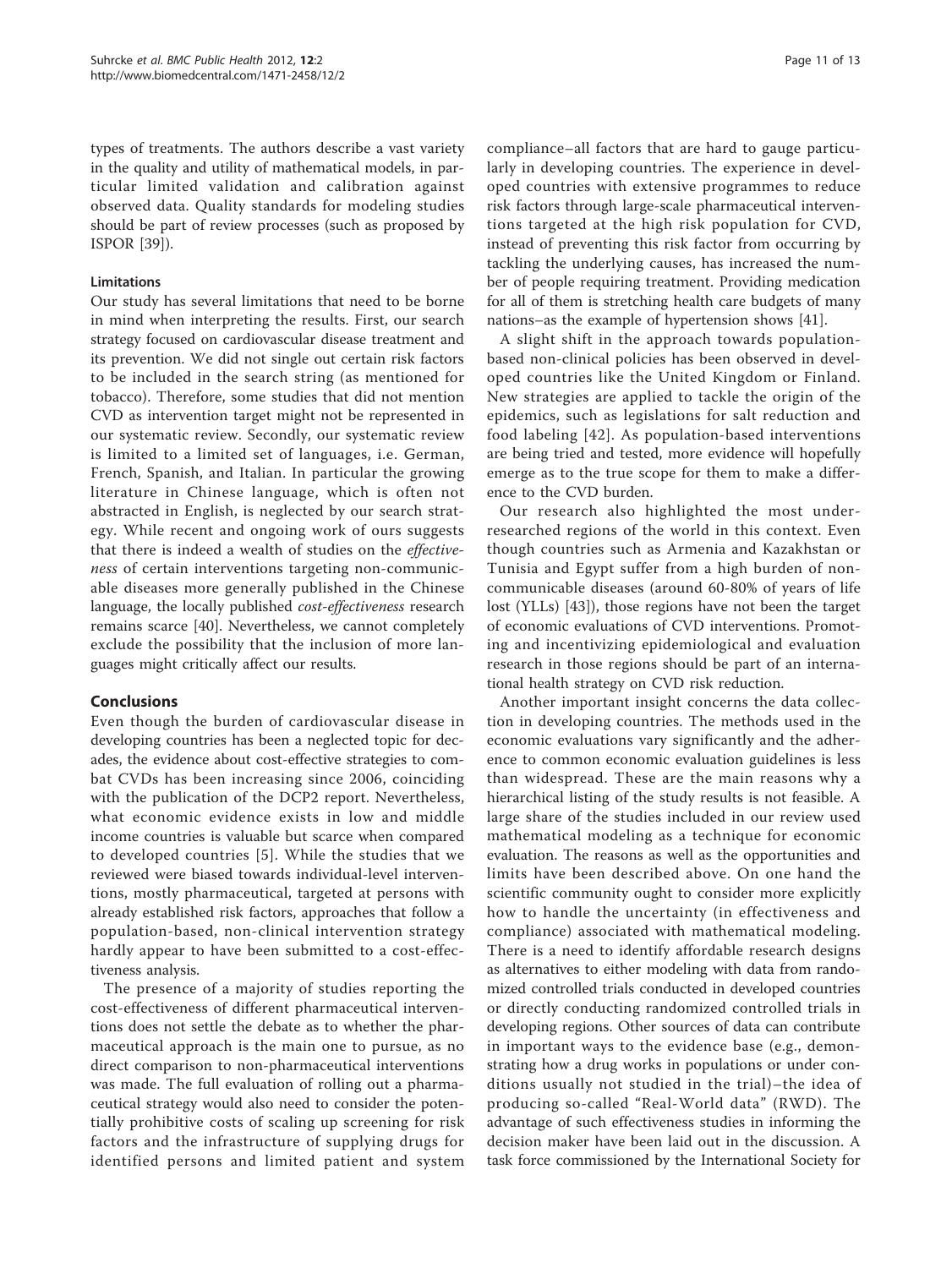types of treatments. The authors describe a vast variety in the quality and utility of mathematical models, in particular limited validation and calibration against observed data. Quality standards for modeling studies should be part of review processes (such as proposed by ISPOR [\[39](#page-12-0)]).

# Limitations

Our study has several limitations that need to be borne in mind when interpreting the results. First, our search strategy focused on cardiovascular disease treatment and its prevention. We did not single out certain risk factors to be included in the search string (as mentioned for tobacco). Therefore, some studies that did not mention CVD as intervention target might not be represented in our systematic review. Secondly, our systematic review is limited to a limited set of languages, i.e. German, French, Spanish, and Italian. In particular the growing literature in Chinese language, which is often not abstracted in English, is neglected by our search strategy. While recent and ongoing work of ours suggests that there is indeed a wealth of studies on the effectiveness of certain interventions targeting non-communicable diseases more generally published in the Chinese language, the locally published *cost-effectiveness* research remains scarce [\[40](#page-12-0)]. Nevertheless, we cannot completely exclude the possibility that the inclusion of more languages might critically affect our results.

# Conclusions

Even though the burden of cardiovascular disease in developing countries has been a neglected topic for decades, the evidence about cost-effective strategies to combat CVDs has been increasing since 2006, coinciding with the publication of the DCP2 report. Nevertheless, what economic evidence exists in low and middle income countries is valuable but scarce when compared to developed countries [[5](#page-11-0)]. While the studies that we reviewed were biased towards individual-level interventions, mostly pharmaceutical, targeted at persons with already established risk factors, approaches that follow a population-based, non-clinical intervention strategy hardly appear to have been submitted to a cost-effectiveness analysis.

The presence of a majority of studies reporting the cost-effectiveness of different pharmaceutical interventions does not settle the debate as to whether the pharmaceutical approach is the main one to pursue, as no direct comparison to non-pharmaceutical interventions was made. The full evaluation of rolling out a pharmaceutical strategy would also need to consider the potentially prohibitive costs of scaling up screening for risk factors and the infrastructure of supplying drugs for identified persons and limited patient and system

compliance–all factors that are hard to gauge particularly in developing countries. The experience in developed countries with extensive programmes to reduce risk factors through large-scale pharmaceutical interventions targeted at the high risk population for CVD, instead of preventing this risk factor from occurring by tackling the underlying causes, has increased the number of people requiring treatment. Providing medication for all of them is stretching health care budgets of many nations–as the example of hypertension shows [[41\]](#page-12-0).

A slight shift in the approach towards populationbased non-clinical policies has been observed in developed countries like the United Kingdom or Finland. New strategies are applied to tackle the origin of the epidemics, such as legislations for salt reduction and food labeling [[42](#page-12-0)]. As population-based interventions are being tried and tested, more evidence will hopefully emerge as to the true scope for them to make a difference to the CVD burden.

Our research also highlighted the most underresearched regions of the world in this context. Even though countries such as Armenia and Kazakhstan or Tunisia and Egypt suffer from a high burden of noncommunicable diseases (around 60-80% of years of life lost (YLLs) [[43\]](#page-12-0)), those regions have not been the target of economic evaluations of CVD interventions. Promoting and incentivizing epidemiological and evaluation research in those regions should be part of an international health strategy on CVD risk reduction.

Another important insight concerns the data collection in developing countries. The methods used in the economic evaluations vary significantly and the adherence to common economic evaluation guidelines is less than widespread. These are the main reasons why a hierarchical listing of the study results is not feasible. A large share of the studies included in our review used mathematical modeling as a technique for economic evaluation. The reasons as well as the opportunities and limits have been described above. On one hand the scientific community ought to consider more explicitly how to handle the uncertainty (in effectiveness and compliance) associated with mathematical modeling. There is a need to identify affordable research designs as alternatives to either modeling with data from randomized controlled trials conducted in developed countries or directly conducting randomized controlled trials in developing regions. Other sources of data can contribute in important ways to the evidence base (e.g., demonstrating how a drug works in populations or under conditions usually not studied in the trial)–the idea of producing so-called "Real-World data" (RWD). The advantage of such effectiveness studies in informing the decision maker have been laid out in the discussion. A task force commissioned by the International Society for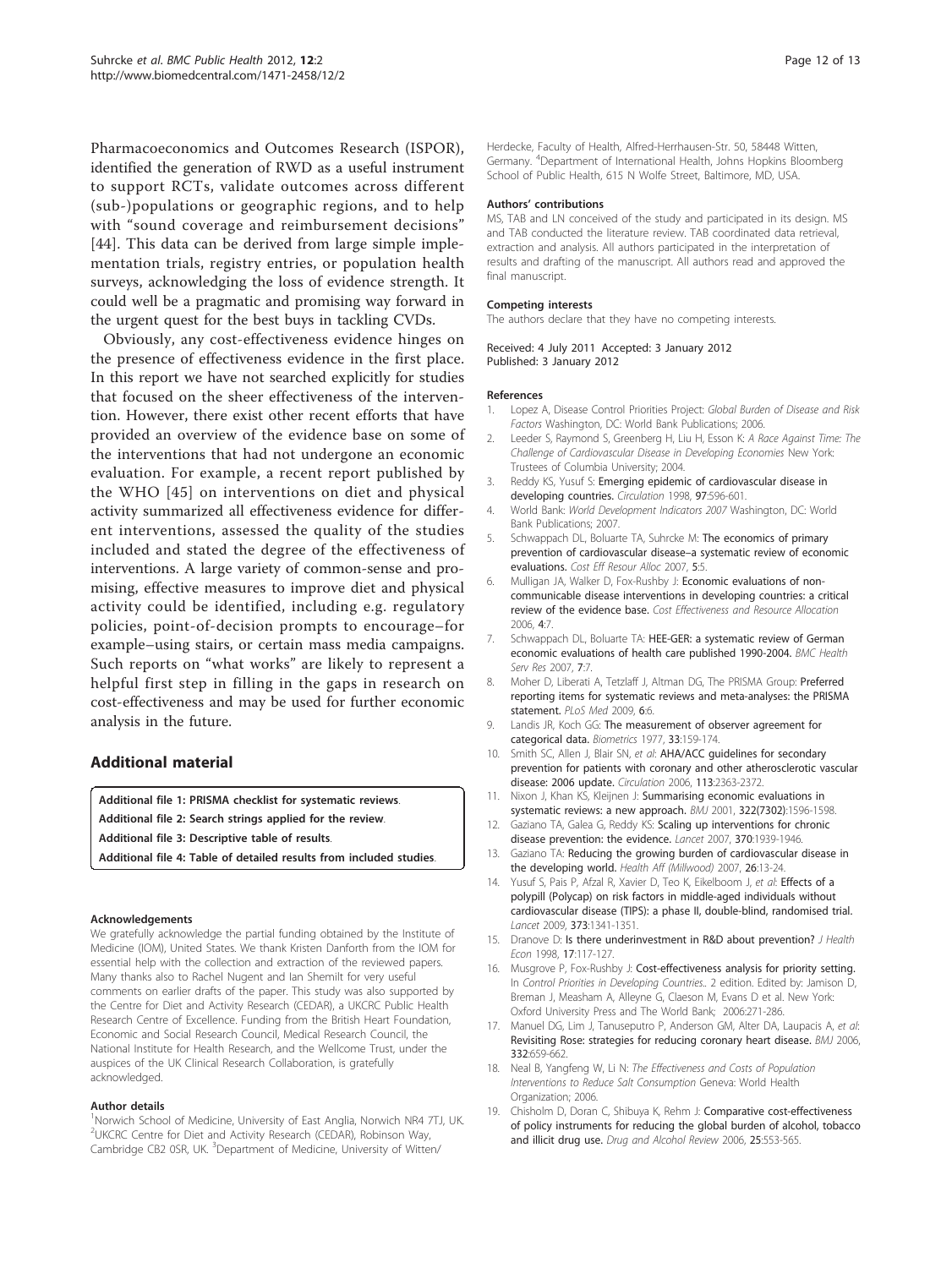<span id="page-11-0"></span>Pharmacoeconomics and Outcomes Research (ISPOR), identified the generation of RWD as a useful instrument to support RCTs, validate outcomes across different (sub-)populations or geographic regions, and to help with "sound coverage and reimbursement decisions" [[44\]](#page-12-0). This data can be derived from large simple implementation trials, registry entries, or population health surveys, acknowledging the loss of evidence strength. It could well be a pragmatic and promising way forward in the urgent quest for the best buys in tackling CVDs.

Obviously, any cost-effectiveness evidence hinges on the presence of effectiveness evidence in the first place. In this report we have not searched explicitly for studies that focused on the sheer effectiveness of the intervention. However, there exist other recent efforts that have provided an overview of the evidence base on some of the interventions that had not undergone an economic evaluation. For example, a recent report published by the WHO [[45\]](#page-12-0) on interventions on diet and physical activity summarized all effectiveness evidence for different interventions, assessed the quality of the studies included and stated the degree of the effectiveness of interventions. A large variety of common-sense and promising, effective measures to improve diet and physical activity could be identified, including e.g. regulatory policies, point-of-decision prompts to encourage–for example–using stairs, or certain mass media campaigns. Such reports on "what works" are likely to represent a helpful first step in filling in the gaps in research on cost-effectiveness and may be used for further economic analysis in the future.

# Additional material

[Additional file 1: P](http://www.biomedcentral.com/content/supplementary/1471-2458-12-2-S1.DOCX)RISMA checklist for systematic reviews.

[Additional file 2: S](http://www.biomedcentral.com/content/supplementary/1471-2458-12-2-S2.DOC)earch strings applied for the review.

[Additional file 3: D](http://www.biomedcentral.com/content/supplementary/1471-2458-12-2-S3.DOC)escriptive table of results.

[Additional file 4: T](http://www.biomedcentral.com/content/supplementary/1471-2458-12-2-S4.DOC)able of detailed results from included studies.

#### Acknowledgements

We gratefully acknowledge the partial funding obtained by the Institute of Medicine (IOM), United States. We thank Kristen Danforth from the IOM for essential help with the collection and extraction of the reviewed papers. Many thanks also to Rachel Nugent and Ian Shemilt for very useful comments on earlier drafts of the paper. This study was also supported by the Centre for Diet and Activity Research (CEDAR), a UKCRC Public Health Research Centre of Excellence. Funding from the British Heart Foundation, Economic and Social Research Council, Medical Research Council, the National Institute for Health Research, and the Wellcome Trust, under the auspices of the UK Clinical Research Collaboration, is gratefully acknowledged.

#### Author details

<sup>1</sup>Norwich School of Medicine, University of East Anglia, Norwich NR4 7TJ, UK. 2 UKCRC Centre for Diet and Activity Research (CEDAR), Robinson Way, Cambridge CB2 0SR, UK. <sup>3</sup>Department of Medicine, University of Witten/

Herdecke, Faculty of Health, Alfred-Herrhausen-Str. 50, 58448 Witten, Germany. <sup>4</sup> Department of International Health, Johns Hopkins Bloomberg School of Public Health, 615 N Wolfe Street, Baltimore, MD, USA.

#### Authors' contributions

MS, TAB and LN conceived of the study and participated in its design. MS and TAB conducted the literature review. TAB coordinated data retrieval, extraction and analysis. All authors participated in the interpretation of results and drafting of the manuscript. All authors read and approved the final manuscript.

#### Competing interests

The authors declare that they have no competing interests.

Received: 4 July 2011 Accepted: 3 January 2012 Published: 3 January 2012

#### References

- 1. Lopez A, Disease Control Priorities Project: Global Burden of Disease and Risk Factors Washington, DC: World Bank Publications; 2006.
- 2. Leeder S, Raymond S, Greenberg H, Liu H, Esson K: A Race Against Time: The Challenge of Cardiovascular Disease in Developing Economies New York: Trustees of Columbia University; 2004.
- 3. Reddy KS, Yusuf S: [Emerging epidemic of cardiovascular disease in](http://www.ncbi.nlm.nih.gov/pubmed/9494031?dopt=Abstract) [developing countries.](http://www.ncbi.nlm.nih.gov/pubmed/9494031?dopt=Abstract) Circulation 1998, 97:596-601.
- 4. World Bank: World Development Indicators 2007 Washington, DC: World Bank Publications; 2007.
- 5. Schwappach DL, Boluarte TA, Suhrcke M: [The economics of primary](http://www.ncbi.nlm.nih.gov/pubmed/17501999?dopt=Abstract) [prevention of cardiovascular disease](http://www.ncbi.nlm.nih.gov/pubmed/17501999?dopt=Abstract)–a systematic review of economic [evaluations.](http://www.ncbi.nlm.nih.gov/pubmed/17501999?dopt=Abstract) Cost Eff Resour Alloc 2007, 5:5.
- 6. Mulligan JA, Walker D, Fox-Rushby J: [Economic evaluations of non](http://www.ncbi.nlm.nih.gov/pubmed/16584546?dopt=Abstract)[communicable disease interventions in developing countries: a critical](http://www.ncbi.nlm.nih.gov/pubmed/16584546?dopt=Abstract) [review of the evidence base.](http://www.ncbi.nlm.nih.gov/pubmed/16584546?dopt=Abstract) Cost Effectiveness and Resource Allocation 2006, 4:7.
- 7. Schwappach DL, Boluarte TA: [HEE-GER: a systematic review of German](http://www.ncbi.nlm.nih.gov/pubmed/17222334?dopt=Abstract) [economic evaluations of health care published 1990-2004.](http://www.ncbi.nlm.nih.gov/pubmed/17222334?dopt=Abstract) BMC Health Serv Res 2007, 7:7.
- 8. Moher D, Liberati A, Tetzlaff J, Altman DG, The PRISMA Group: Preferred reporting items for systematic reviews and meta-analyses: the PRISMA statement. PLoS Med 2009, 6:6.
- 9. Landis JR, Koch GG: [The measurement of observer agreement for](http://www.ncbi.nlm.nih.gov/pubmed/843571?dopt=Abstract) [categorical data.](http://www.ncbi.nlm.nih.gov/pubmed/843571?dopt=Abstract) Biometrics 1977, 33:159-174.
- 10. Smith SC, Allen J, Blair SN, et al: [AHA/ACC guidelines for secondary](http://www.ncbi.nlm.nih.gov/pubmed/16702489?dopt=Abstract) [prevention for patients with coronary and other atherosclerotic vascular](http://www.ncbi.nlm.nih.gov/pubmed/16702489?dopt=Abstract) [disease: 2006 update.](http://www.ncbi.nlm.nih.gov/pubmed/16702489?dopt=Abstract) Circulation 2006, 113:2363-2372.
- 11. Nixon J, Khan KS, Kleijnen J: [Summarising economic evaluations in](http://www.ncbi.nlm.nih.gov/pubmed/11431306?dopt=Abstract) [systematic reviews: a new approach.](http://www.ncbi.nlm.nih.gov/pubmed/11431306?dopt=Abstract) BMJ 2001, 322(7302):1596-1598.
- 12. Gaziano TA, Galea G, Reddy KS: [Scaling up interventions for chronic](http://www.ncbi.nlm.nih.gov/pubmed/18063028?dopt=Abstract) [disease prevention: the evidence.](http://www.ncbi.nlm.nih.gov/pubmed/18063028?dopt=Abstract) Lancet 2007, 370:1939-1946.
- Gaziano TA: Reducing the growing burden of cardiovascular disease in the developing world. Health Aff (Millwood) 2007, 26:13-24.
- 14. Yusuf S, Pais P, Afzal R, Xavier D, Teo K, Eikelboom J, et al: [Effects of a](http://www.ncbi.nlm.nih.gov/pubmed/19339045?dopt=Abstract) [polypill \(Polycap\) on risk factors in middle-aged individuals without](http://www.ncbi.nlm.nih.gov/pubmed/19339045?dopt=Abstract) [cardiovascular disease \(TIPS\): a phase II, double-blind, randomised trial.](http://www.ncbi.nlm.nih.gov/pubmed/19339045?dopt=Abstract) Lancet 2009, 373:1341-1351.
- 15. Dranove D: [Is there underinvestment in R&D about prevention?](http://www.ncbi.nlm.nih.gov/pubmed/10176312?dopt=Abstract) J Health Econ 1998, 17:117-127.
- 16. Musgrove P, Fox-Rushby J: Cost-effectiveness analysis for priority setting. In Control Priorities in Developing Countries.. 2 edition. Edited by: Jamison D, Breman J, Measham A, Alleyne G, Claeson M, Evans D et al. New York: Oxford University Press and The World Bank; 2006:271-286.
- 17. Manuel DG, Lim J, Tanuseputro P, Anderson GM, Alter DA, Laupacis A, et al: [Revisiting Rose: strategies for reducing coronary heart disease.](http://www.ncbi.nlm.nih.gov/pubmed/16543339?dopt=Abstract) BMJ 2006, 332:659-662.
- 18. Neal B, Yangfeng W, Li N: The Effectiveness and Costs of Population Interventions to Reduce Salt Consumption Geneva: World Health Organization; 2006.
- 19. Chisholm D, Doran C, Shibuya K, Rehm J: [Comparative cost-effectiveness](http://www.ncbi.nlm.nih.gov/pubmed/17132573?dopt=Abstract) [of policy instruments for reducing the global burden of alcohol, tobacco](http://www.ncbi.nlm.nih.gov/pubmed/17132573?dopt=Abstract) [and illicit drug use.](http://www.ncbi.nlm.nih.gov/pubmed/17132573?dopt=Abstract) Drug and Alcohol Review 2006, 25:553-565.